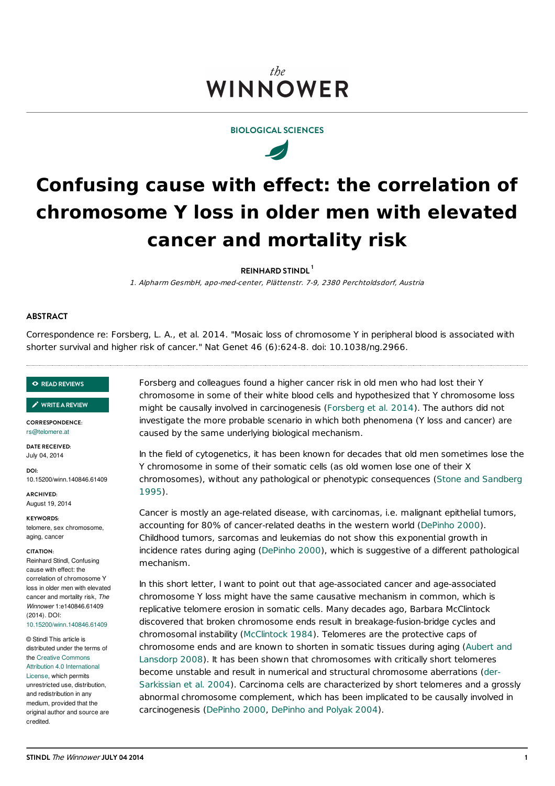# the WINNOWER





# **Confusing cause with effect: the correlation of chromosome Y loss in older men with elevated cancer and mortality risk**

**REINHARD STINDL 1**

1. Alpharm GesmbH, apo-med-center, Plättenstr. 7-9, 2380 Perchtoldsdorf, Austria

# **ABSTRACT**

Correspondence re: Forsberg, L. A., et al. 2014. "Mosaic loss of chromosome Y in peripheral blood is associated with shorter survival and higher risk of cancer." Nat Genet 46 (6):624-8. doi: 10.1038/ng.2966.

#### **READ [REVIEWS](https://thewinnower.com/papers/confusing-cause-with-effect-the-correlation-of-chromosome-y-loss-in-older-men-with-elevated-cancer-and-mortality-risk-correspondence-re-forsberg-l-a-et-al-nat-genet-46-624-628-2014?review_it=true)**

**[WRITEAREVIEW](https://thewinnower.com/papers/confusing-cause-with-effect-the-correlation-of-chromosome-y-loss-in-older-men-with-elevated-cancer-and-mortality-risk-correspondence-re-forsberg-l-a-et-al-nat-genet-46-624-628-2014?review_it=true)** ✎

**CORRESPONDENCE:** [rs@telomere.at](mailto:rs@telomere.at)

**DATE RECEIVED:** July 04, 2014

**DOI:** 10.15200/winn.140846.61409

**ARCHIVED:** August 19, 2014

**KEYWORDS:**

telomere, sex chromosome, aging, cancer

#### **CITATION:**

Reinhard Stindl, Confusing cause with effect: the correlation of chromosome Y loss in older men with elevated cancer and mortality risk, *The Winnower* 1:e140846.61409 (2014). DOI: [10.15200/winn.140846.61409](http://dx.doi.org/10.15200/winn.140846.61409)

© Stindl This article is distributed under the terms of the Creative Commons Attribution 4.0 [International](http://creativecommons.org/licenses/by/4.0/) License, which permits unrestricted use, distribution, and redistribution in any medium, provided that the original author and source are credited.

Forsberg and colleagues found a higher cancer risk in old men who had lost their Y chromosome in some of their white blood cells and hypothesized that Y chromosome loss might be causally involved in carcinogenesis [\(Forsberg](#page-1-0) et al. 2014). The authors did not investigate the more probable scenario in which both phenomena (Y loss and cancer) are caused by the same underlying biological mechanism.

In the field of cytogenetics, it has been known for decades that old men sometimes lose the Y chromosome in some of their somatic cells (as old women lose one of their X [chromosomes\),](#page-1-1) without any pathological or phenotypic consequences (Stone and Sandberg 1995).

Cancer is mostly an age-related disease, with carcinomas, i.e. malignant epithelial tumors, accounting for 80% of cancer-related deaths in the western world ([DePinho](#page-1-2) 2000). Childhood tumors, sarcomas and leukemias do not show this exponential growth in incidence rates during aging [\(DePinho](#page-1-2) 2000), which is suggestive of a different pathological mechanism.

In this short letter, I want to point out that age-associated cancer and age-associated chromosome Y loss might have the same causative mechanism in common, which is replicative telomere erosion in somatic cells. Many decades ago, Barbara McClintock discovered that broken chromosome ends result in breakage-fusion-bridge cycles and chromosomal instability ([McClintock](#page-1-3) 1984). Telomeres are the protective caps of [chromosome](#page-1-4) ends and are known to shorten in somatic tissues during aging (Aubert and Lansdorp 2008). It has been shown that chromosomes with critically short telomeres become unstable and result in numerical and structural [chromosome](#page-1-5) aberrations (der-Sarkissian et al. 2004). Carcinoma cells are characterized by short telomeres and a grossly abnormal chromosome complement, which has been implicated to be causally involved in carcinogenesis [\(DePinho](#page-1-2) 2000, [DePinho](#page-1-6) and Polyak 2004).